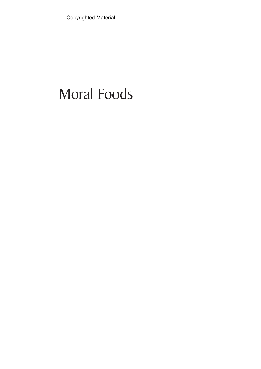Copyrighted Material

## Moral Foods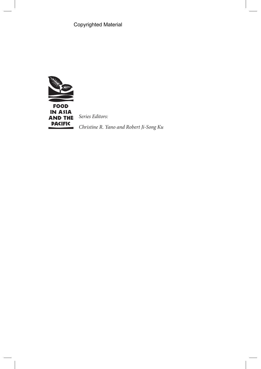Copyrighted Material



Series Editors:

Christine R. Yano and Robert Ji-Song Ku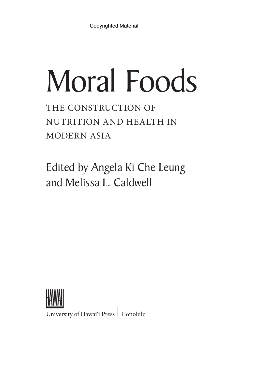# Moral Foods

THE CONSTRUCTION OF NUTRITION AND HEALTH IN MODERN ASIA

Edited by Angela Ki Che Leung and Melissa L. Caldwell



University of Hawai'i Press | Honolulu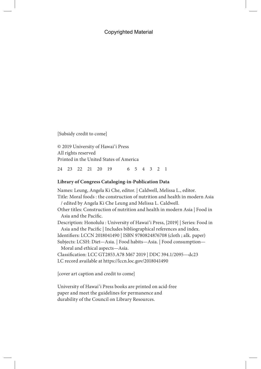### Copyrighted Material

[Subsidy credit to come]

© 2019 University of Hawai'i Press All rights reserved Printed in the United States of America

24 23 22 21 20 19 6 5 4 3 2 1

#### **Library of Congress Cataloging-in-Publication Data**

Names: Leung, Angela Ki Che, editor. | Caldwell, Melissa L., editor. Title: Moral foods : the construction of nutrition and health in modern Asia / edited by Angela Ki Che Leung and Melissa L. Caldwell. Other titles: Construction of nutrition and health in modern Asia | Food in Asia and the Pacific. Description: Honolulu : University of Hawai'i Press, [2019] | Series: Food in Asia and the Pacific | Includes bibliographical references and index. Identifiers: LCCN 2018041490 | ISBN 9780824876708 (cloth ; alk. paper) Subjects: LCSH: Diet—Asia. | Food habits—Asia. | Food consumption— Moral and ethical aspects—Asia. Classification: LCC GT2853.A78 M67 2019 | DDC 394.1/2095—dc23 LC record available at https://lccn.loc.gov/2018041490

[cover art caption and credit to come]

University of Hawai'i Press books are printed on acid-free paper and meet the guidelines for permanence and durability of the Council on Library Resources.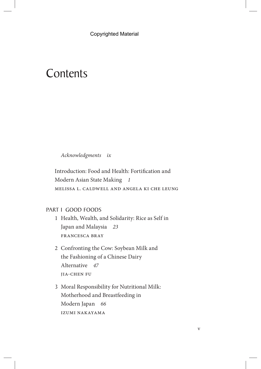## **Contents**

Acknowledgments ix

Introduction: Food and Health: Fortification and Modern Asian State Making 1 Melissa L. Caldwell and Angela Ki Che Leung

## PART I GOOD FOODS

- 1 Health, Wealth, and Solidarity: Rice as Self in Japan and Malaysia 23 Francesca Bray
- 2 Confronting the Cow: Soybean Milk and the Fashioning of a Chinese Dairy Alternative 47 Jia-Chen Fu
- 3 Moral Responsibility for Nutritional Milk: Motherhood and Breastfeeding in Modern Japan 66 Izumi Nakayama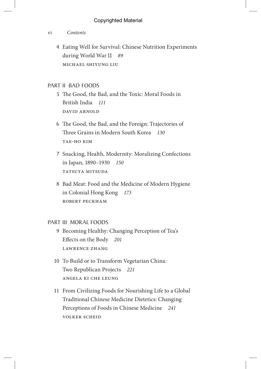## vi Contents

 4 Eating Well for Survival: Chinese Nutrition Experiments during World War II 89 Michael Shiyung Liu

## PART II BAD FOODS

- 5 The Good, the Bad, and the Toxic: Moral Foods in British India 111 David Arnold
- 6 The Good, the Bad, and the Foreign: Trajectories of Three Grains in Modern South Korea 130 Tae-Ho Kim
- 7 Snacking, Health, Modernity: Moralizing Confections in Japan, 1890–1930 150 TATSUYA MITSUDA
- 8 Bad Meat: Food and the Medicine of Modern Hygiene in Colonial Hong Kong 173 Robert Peckham

## PART III MORAL FOODS

- 9 Becoming Healthy: Changing Perception of Tea's Effects on the Body 201 Lawrence Zhang
- 10 To Build or to Transform Vegetarian China: Two Republican Projects 221 Angela Ki Che Leung
- 11 From Civilizing Foods for Nourishing Life to a Global Traditional Chinese Medicine Dietetics: Changing Perceptions of Foods in Chinese Medicine 241 Volker Scheid